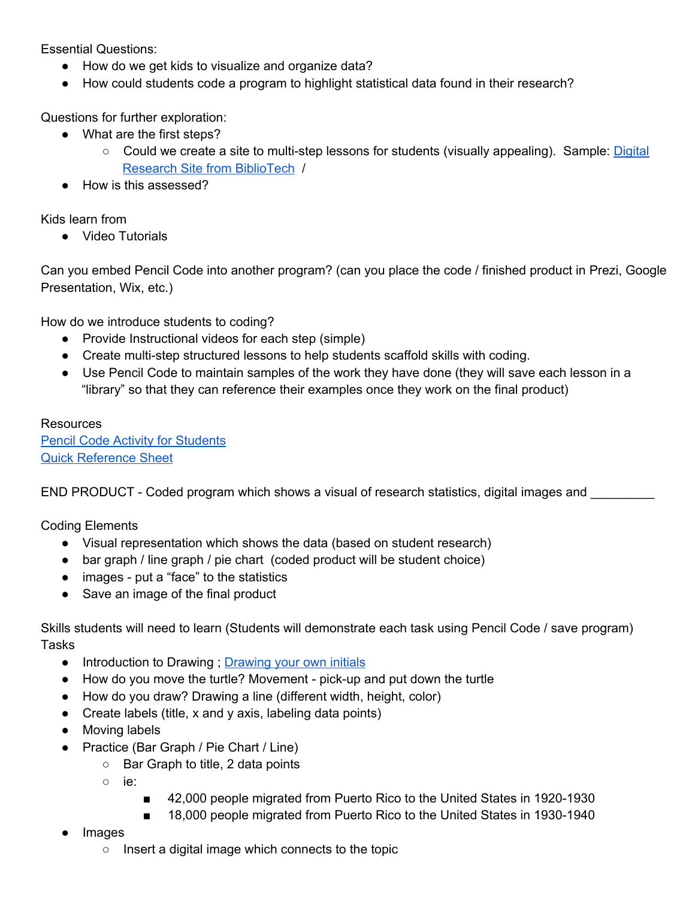Essential Questions:

- How do we get kids to visualize and organize data?
- How could students code a program to highlight statistical data found in their research?

Questions for further exploration:

- What are the first steps?
	- Could we create a site to multi-step lessons for students (visually appealing). Sample: [Digital](https://www.google.com/url?q=https%3A%2F%2Fsites.google.com%2Fa%2Fbcdschool.org%2Ftechguide%2Fdigital-research&sa=D&sntz=1&usg=AFQjCNFt7HohBIGW-is1XHvbX8WAarbVNw) Research Site from [BiblioTech](https://www.google.com/url?q=https%3A%2F%2Fsites.google.com%2Fa%2Fbcdschool.org%2Ftechguide%2Fdigital-research&sa=D&sntz=1&usg=AFQjCNFt7HohBIGW-is1XHvbX8WAarbVNw) /
- How is this assessed?

Kids learn from

● Video Tutorials

Can you embed Pencil Code into another program? (can you place the code / finished product in Prezi, Google Presentation, Wix, etc.)

How do we introduce students to coding?

- Provide Instructional videos for each step (simple)
- Create multi-step structured lessons to help students scaffold skills with coding.
- Use Pencil Code to maintain samples of the work they have done (they will save each lesson in a "library" so that they can reference their examples once they work on the final product)

## **Resources**

Pencil Code Activity for [Students](http://www.google.com/url?q=http%3A%2F%2Factivity.pencilcode.net%2F&sa=D&sntz=1&usg=AFQjCNELbfTTQWkgQvNxVn1tTc4XWekiww) Quick [Reference](http://www.google.com/url?q=http%3A%2F%2Fpencilcode.net%2Fmaterial%2Freference.pdf&sa=D&sntz=1&usg=AFQjCNGxHVtGsW6ulnM9zsnsnuhKWC37lA) Sheet

END PRODUCT - Coded program which shows a visual of research statistics, digital images and

Coding Elements

- Visual representation which shows the data (based on student research)
- bar graph / line graph / pie chart (coded product will be student choice)
- images put a "face" to the statistics
- Save an image of the final product

Skills students will need to learn (Students will demonstrate each task using Pencil Code / save program) **Tasks** 

- Introduction to [Drawing](http://www.google.com/url?q=http%3A%2F%2Factivity.pencilcode.net%2Fhome%2Fworksheet%2Finitial.html&sa=D&sntz=1&usg=AFQjCNEmztkaUGQI-RSNUeVv5E8fWhIJ_g) ; Drawing your own initials
- $\bullet$  How do you move the turtle? Movement pick-up and put down the turtle
- How do you draw? Drawing a line (different width, height, color)
- $\bullet$  Create labels (title, x and y axis, labeling data points)
- Moving labels
- Practice (Bar Graph / Pie Chart / Line)
	- Bar Graph to title, 2 data points
	- ie:
- 42,000 people migrated from Puerto Rico to the United States in 1920-1930
- 18,000 people migrated from Puerto Rico to the United States in 1930-1940
- lmages
	- Insert a digital image which connects to the topic